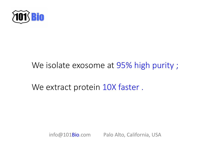

## We isolate exosome at 95% high purity;

We extract protein 10X faster.

info@101Bio.com Palo Alto, California, USA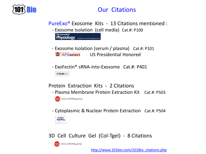

### Our Citations

PureExo® Exosome Kits - 13 Citations mentioned :

- Exosome Isolation (cell media) Cat.#: P100 The Journal of **Physiology** A Publication of The Physiological Societ
- Exosome Isolation (serum / plasma) Cat.#: P101 **EX APSselect** US Presidential Honored
- ExoFectin® sRNA-into-Exosome Cat.#: P401 O PLOS ONE

#### Protein Extraction Kits - 2 Citations

- Plasma Membrane Protein Extraction Kit Cat.#: P503 **npg** nature publishing group
- Cytoplasmic & Nuclear Protein Extraction Cat.#: P504



#### 3D Cell Culture Gel (Col-Tgel) - 8 Citations



[http://www.101bio.com/101Bio\\_citations.php](http://www.101bio.com/101Bio_citations.php)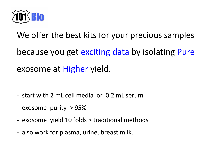

We offer the best kits for your precious samples because you get exciting data by isolating Pure exosome at Higher yield.

- start with 2 mL cell media or 0.2 mL serum
- exosome purity > 95%
- exosome yield 10 folds > traditional methods
- also work for plasma, urine, breast milk...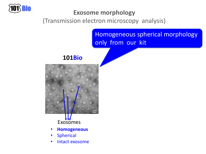

#### **Exosome morphology**

(Transmission electron microscopy analysis)

Homogeneous spherical morphology only from our kit

**101Bio**



### Exosomes

- **Homogeneous**
- Spherical
- Intact exosome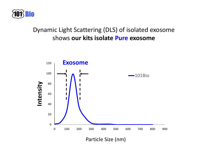

### Dynamic Light Scattering (DLS) of isolated exosome shows **our kits isolate Pure exosome**

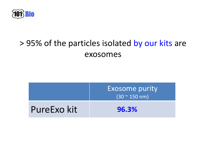

## > 95% of the particles isolated by our kits are exosomes

|             | <b>Exosome purity</b><br>$(30 - 150)$ nm) |  |
|-------------|-------------------------------------------|--|
| PureExo kit | 96.3%                                     |  |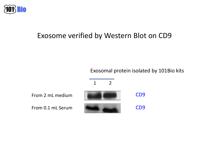

### Exosome verified by Western Blot on CD9

Exosomal protein isolated by 101Bio kits

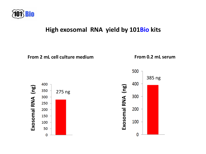![](_page_7_Picture_0.jpeg)

#### **High exosomal RNA yield by 101Bio kits**

![](_page_7_Figure_2.jpeg)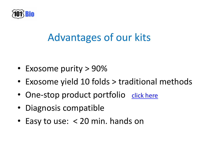![](_page_8_Picture_0.jpeg)

# Advantages of our kits

- Exosome purity > 90%
- Exosome yield 10 folds > traditional methods
- One-stop product portfolio [click here](http://www.101bio.com/quick_order.php)
- Diagnosis compatible
- Easy to use: < 20 min. hands on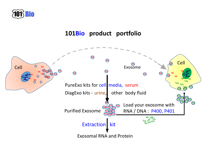![](_page_9_Picture_0.jpeg)

#### **101Bio product portfolio**

![](_page_9_Figure_2.jpeg)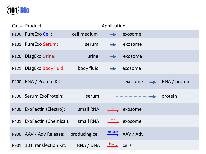![](_page_10_Picture_0.jpeg)

| Cat.# Product                          |             | Application |                          |               |
|----------------------------------------|-------------|-------------|--------------------------|---------------|
| P100 PureExo Cell:                     | cell medium |             | exosome                  |               |
| P101 PureExo Serum:                    | serum       |             | exosome                  |               |
| P120 DiagExo Urine:                    | urine       |             | exosome                  |               |
| P121 DiagExo BodyFluid:                | body fluid  |             | exosome                  |               |
| P200 RNA / Protein Kit:                |             |             | exosome<br>$\Rightarrow$ | RNA / protein |
| P300 Serum ExoProtein:                 | serum       |             | ---------- >             | protein       |
| P400 ExoFectin (Electro):              | small RNA   |             | into exosome             |               |
| P401 ExoFectin (Chemical): small RNA   |             |             | into exosome             |               |
| P900 AAV / Adv Release: producing cell |             | release     | AAV / Adv                |               |
| P901 101Transfection Kit:              | RNA / DNA   | into        | cells                    |               |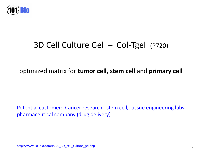![](_page_11_Picture_0.jpeg)

## 3D Cell Culture Gel – Col-Tgel (P720)

#### optimized matrix for **tumor cell, stem cell** and **primary cell**

Potential customer: Cancer research, stem cell, tissue engineering labs, pharmaceutical company (drug delivery)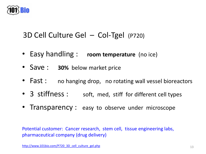![](_page_12_Picture_0.jpeg)

### 3D Cell Culture Gel – Col-Tgel (P720)

- Easy handling : **room temperature** (no ice)
- Save : **30%** below market price
- Fast : no hanging drop, no rotating wall vessel bioreactors
- 3 stiffness : soft, med, stiff for different cell types
- Transparency : easy to observe under microscope

Potential customer: Cancer research, stem cell, tissue engineering labs, pharmaceutical company (drug delivery)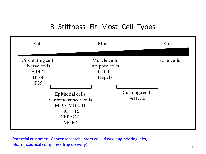### 3 Stiffness Fit Most Cell Types

| Soft                                                                   | Med                                                                                                                                                         |                          | Stiff      |
|------------------------------------------------------------------------|-------------------------------------------------------------------------------------------------------------------------------------------------------------|--------------------------|------------|
| Circulating cells<br>Nerve cells<br><b>BT474</b><br><b>HL60</b><br>P39 | Muscle cells<br>Adipose cells<br>C2C12<br>HepG <sub>2</sub><br>Epithelial cells<br>Sarcoma cancer cells<br>$MDA-MB-231$<br><b>HCT116</b><br>CFPAC-1<br>MCF7 | Cartilage cells<br>ATDC5 | Bone cells |

Potential customer: Cancer research, stem cell, tissue engineering labs, pharmaceutical company (drug delivery)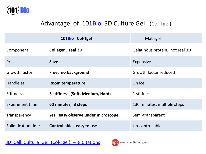![](_page_14_Picture_0.jpeg)

#### Advantage of 101Bio 3D Culture Gel (Col-Tgel)

|                        | 101Bio Col-Tgel                    | Matrigel                        |
|------------------------|------------------------------------|---------------------------------|
| Component              | Collagen, real 3D                  | Gelatinous protein, not real 3D |
| Price                  | <b>Save</b>                        | Expensive                       |
| Growth factor          | Free, no background                | Growth factor reduced           |
| Handle at              | Room temperature                   | On ice                          |
| <b>Stiffness</b>       | 3 stiffness (Soft, Medium, Hard)   | 1 stiffness                     |
| <b>Experiment time</b> | 60 minutes, 3 steps                | 130 minutes, multiple steps     |
| Transparency           | Yes, easy observe under microscope | Semi-transparent                |
| Solidification time    | Controllable, easy to use          | Un-controllable                 |

[3D Cell Culture Gel \(Col-Tgel\)](http://www.101bio.com/3D_cell_culture_gel_Col-Tgel_citations.php) - 8 Citations

![](_page_14_Picture_4.jpeg)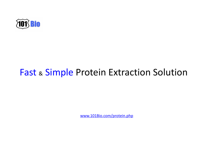![](_page_15_Picture_0.jpeg)

## Fast & Simple Protein Extraction Solution

[www.101Bio.com/protein.php](http://www.101bio.com/protein.php)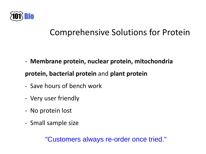![](_page_16_Picture_0.jpeg)

## Comprehensive Solutions for Protein

- **Membrane protein, nuclear protein, mitochondria** 

### **protein, bacterial protein** and **plant protein**

- Save hours of bench work
- Very user friendly
- No protein lost
- Small sample size

"Customers always re-order once tried."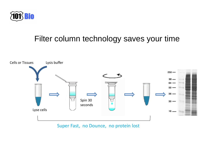![](_page_17_Picture_0.jpeg)

### Filter column technology saves your time

![](_page_17_Figure_2.jpeg)

Super Fast, no Dounce, no protein lost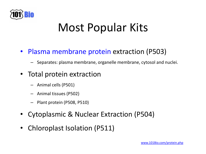![](_page_18_Picture_0.jpeg)

# Most Popular Kits

### • Plasma membrane protein extraction (P503)

– Separates: plasma membrane, organelle membrane, cytosol and nuclei.

### Total protein extraction

- Animal cells (P501)
- Animal tissues (P502)
- Plant protein (P508, P510)
- Cytoplasmic & Nuclear Extraction (P504)
- Chloroplast Isolation (P511)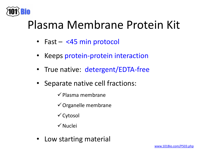![](_page_19_Picture_0.jpeg)

# Plasma Membrane Protein Kit

- Fast <45 min protocol
- Keeps protein-protein interaction
- True native: detergent/EDTA-free
- Separate native cell fractions:
	- $\checkmark$  Plasma membrane
	- $\checkmark$  Organelle membrane
	- $\checkmark$  Cytosol
	- Nuclei
- Low starting material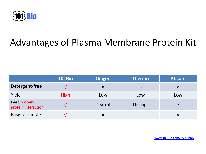![](_page_20_Picture_0.jpeg)

## Advantages of Plasma Membrane Protein Kit

|                                      | <b>101Bio</b> | <b>Qiagen</b>  | <b>Thermo</b>  | <b>Abcom</b> |
|--------------------------------------|---------------|----------------|----------------|--------------|
| Detergent-free                       |               | $\times$       | $\times$       | $\times$     |
| Yield                                | <b>High</b>   | Low            | Low            | Low          |
| Keep protein-<br>protein interaction | V             | <b>Disrupt</b> | <b>Disrupt</b> |              |
| Easy to handle                       |               | $\times$       | $\times$       | X            |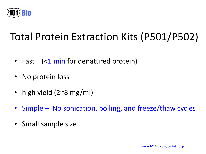![](_page_21_Picture_0.jpeg)

# Total Protein Extraction Kits (P501/P502)

- Fast (<1 min for denatured protein)
- No protein loss
- high yield (2~8 mg/ml)
- Simple No sonication, boiling, and freeze/thaw cycles
- Small sample size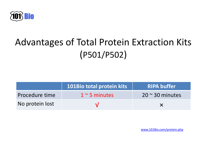![](_page_22_Picture_0.jpeg)

# Advantages of Total Protein Extraction Kits (P501/P502)

|                 | 101Bio total protein kits | RIPA buffer             |
|-----------------|---------------------------|-------------------------|
| Procedure time  | $1~$ ~5 minutes           | $20 \approx 30$ minutes |
| No protein lost |                           |                         |

[www.101Bio.com/protein.php](http://www.101bio.com/protein.php)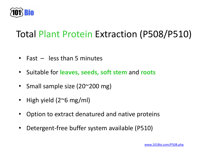![](_page_23_Picture_0.jpeg)

## Total Plant Protein Extraction (P508/P510)

- Fast less than 5 minutes
- Suitable for **leaves, seeds, soft stem** and **roots**
- Small sample size (20~200 mg)
- High yield (2~6 mg/ml)
- Option to extract denatured and native proteins
- Detergent-free buffer system available (P510)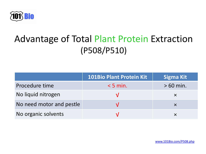![](_page_24_Picture_0.jpeg)

## Advantage of Total Plant Protein Extraction (P508/P510)

|                          | 101Bio Plant Protein Kit | <b>Sigma Kit</b> |
|--------------------------|--------------------------|------------------|
| Procedure time           | $< 5$ min.               | $>60$ min.       |
| No liquid nitrogen       |                          |                  |
| No need motor and pestle |                          |                  |
| No organic solvents      |                          |                  |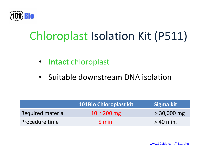![](_page_25_Picture_0.jpeg)

# Chloroplast Isolation Kit (P511)

- **Intact** chloroplast
- Suitable downstream DNA isolation

|                          | <b>101Bio Chloroplast kit</b> | Sigma kit     |
|--------------------------|-------------------------------|---------------|
| <b>Required material</b> | $10 \approx 200 \text{ mg}$   | $> 30,000$ mg |
| Procedure time           | $5$ min.                      | $>$ 40 min.   |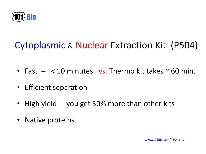![](_page_26_Picture_0.jpeg)

# Cytoplasmic & Nuclear Extraction Kit (P504)

- Fast  $-$  < 10 minutes vs. Thermo kit takes  $\sim$  60 min.
- Efficient separation
- High yield you get 50% more than other kits
- Native proteins